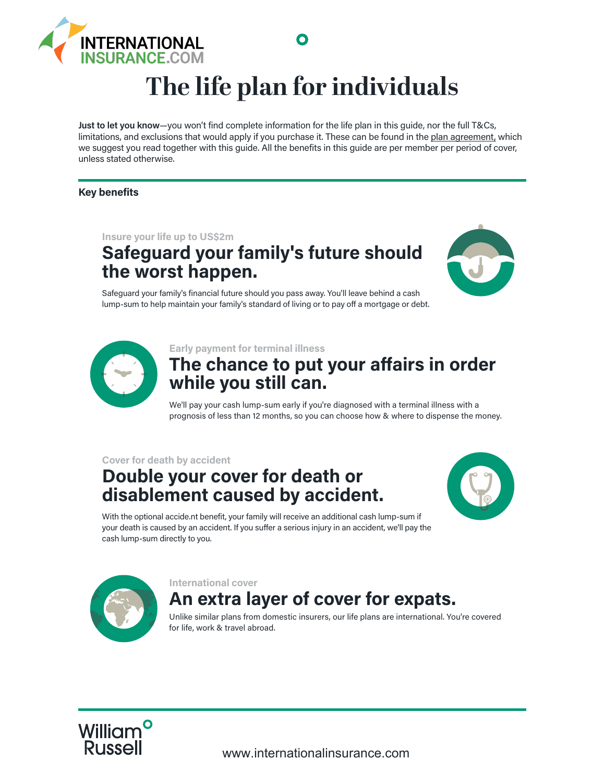

# **The life plan for individuals**

O

**Just to let you know**—you won't find complete information for the life plan in this guide, nor the full T&Cs, limitations, and exclusions that would apply if you purchase it. These can be found in the plan agreement, which we suggest you read together with this guide. All the benefits in this guide are per member per period of cover, unless stated otherwise.

### **Key benefits**

**Insure your life up to US\$2m**

# **Safeguard your family's future should the worst happen.**



Safeguard your family's financial future should you pass away. You'll leave behind a cash lump-sum to help maintain your family's standard of living or to pay off a mortgage or debt.



**Early payment for terminal illness**

### **The chance to put your a!airs in order while you still can.**

We'll pay your cash lump-sum early if you're diagnosed with a terminal illness with a prognosis of less than 12 months, so you can choose how & where to dispense the money.

### **Cover for death by accident**

### **Double your cover for death or disablement caused by accident.**



With the optional accide.nt benefit, your family will receive an additional cash lump-sum if your death is caused by an accident. If you suffer a serious injury in an accident, we'll pay the cash lump-sum directly to you.



#### **International cover**

# **An extra layer of cover for expats.**

Unlike similar plans from domestic insurers, our life plans are international. You're covered for life, work & travel abroad.

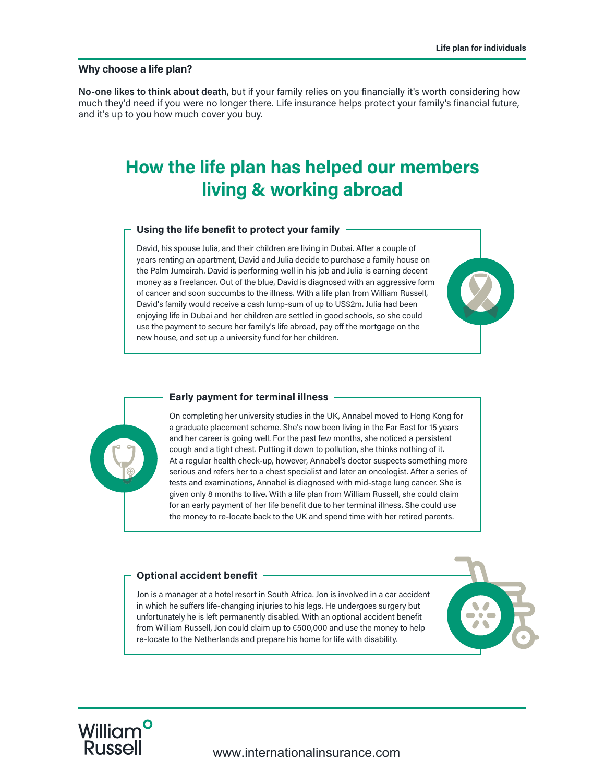#### **Why choose a life plan?**

**No-one likes to think about death**, but if your family relies on you financially it's worth considering how much they'd need if you were no longer there. Life insurance helps protect your family's financial future, and it's up to you how much cover you buy.

## **How the life plan has helped our members living & working abroad**

#### **Using the life benefit to protect your family**

David, his spouse Julia, and their children are living in Dubai. After a couple of years renting an apartment, David and Julia decide to purchase a family house on the Palm Jumeirah. David is performing well in his job and Julia is earning decent money as a freelancer. Out of the blue, David is diagnosed with an aggressive form of cancer and soon succumbs to the illness. With a life plan from William Russell, David's family would receive a cash lump-sum of up to US\$2m. Julia had been enjoying life in Dubai and her children are settled in good schools, so she could use the payment to secure her family's life abroad, pay off the mortgage on the new house, and set up a university fund for her children.



#### **Early payment for terminal illness**

On completing her university studies in the UK, Annabel moved to Hong Kong for a graduate placement scheme. She's now been living in the Far East for 15 years and her career is going well. For the past few months, she noticed a persistent cough and a tight chest. Putting it down to pollution, she thinks nothing of it. At a regular health check-up, however, Annabel's doctor suspects something more serious and refers her to a chest specialist and later an oncologist. After a series of tests and examinations, Annabel is diagnosed with mid-stage lung cancer. She is given only 8 months to live. With a life plan from William Russell, she could claim for an early payment of her life benefit due to her terminal illness. She could use the money to re-locate back to the UK and spend time with her retired parents.

#### **Optional accident benefit**

Jon is a manager at a hotel resort in South Africa. Jon is involved in a car accident in which he suffers life-changing injuries to his legs. He undergoes surgery but unfortunately he is left permanently disabled. With an optional accident benefit from William Russell, Jon could claim up to €500,000 and use the money to help re-locate to the Netherlands and prepare his home for life with disability.